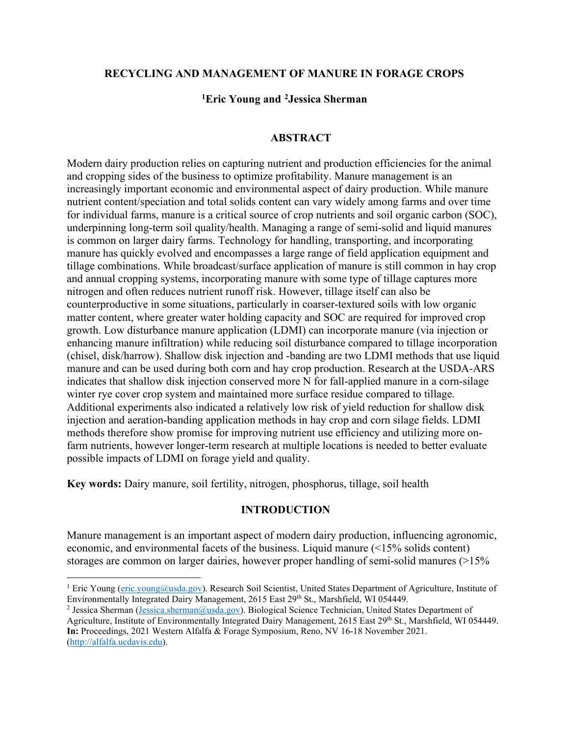### **RECYCLING AND MANAGEMENT OF MANURE IN FORAGE CROPS**

## **[1](#page-0-0)Eric Young and [2](#page-0-1)Jessica Sherman**

#### **ABSTRACT**

Modern dairy production relies on capturing nutrient and production efficiencies for the animal and cropping sides of the business to optimize profitability. Manure management is an increasingly important economic and environmental aspect of dairy production. While manure nutrient content/speciation and total solids content can vary widely among farms and over time for individual farms, manure is a critical source of crop nutrients and soil organic carbon (SOC), underpinning long-term soil quality/health. Managing a range of semi-solid and liquid manures is common on larger dairy farms. Technology for handling, transporting, and incorporating manure has quickly evolved and encompasses a large range of field application equipment and tillage combinations. While broadcast/surface application of manure is still common in hay crop and annual cropping systems, incorporating manure with some type of tillage captures more nitrogen and often reduces nutrient runoff risk. However, tillage itself can also be counterproductive in some situations, particularly in coarser-textured soils with low organic matter content, where greater water holding capacity and SOC are required for improved crop growth. Low disturbance manure application (LDMI) can incorporate manure (via injection or enhancing manure infiltration) while reducing soil disturbance compared to tillage incorporation (chisel, disk/harrow). Shallow disk injection and -banding are two LDMI methods that use liquid manure and can be used during both corn and hay crop production. Research at the USDA-ARS indicates that shallow disk injection conserved more N for fall-applied manure in a corn-silage winter rye cover crop system and maintained more surface residue compared to tillage. Additional experiments also indicated a relatively low risk of yield reduction for shallow disk injection and aeration-banding application methods in hay crop and corn silage fields. LDMI methods therefore show promise for improving nutrient use efficiency and utilizing more onfarm nutrients, however longer-term research at multiple locations is needed to better evaluate possible impacts of LDMI on forage yield and quality.

**Key words:** Dairy manure, soil fertility, nitrogen, phosphorus, tillage, soil health

### **INTRODUCTION**

Manure management is an important aspect of modern dairy production, influencing agronomic, economic, and environmental facets of the business. Liquid manure (<15% solids content) storages are common on larger dairies, however proper handling of semi-solid manures (>15%

<span id="page-0-0"></span><sup>&</sup>lt;sup>1</sup> Eric Young [\(eric.young@usda.gov\)](mailto:eric.young@usda.gov). Research Soil Scientist, United States Department of Agriculture, Institute of Environmentally Integrated Dairy Management, 2615 East 29th St., Marshfield, WI 054449.

<span id="page-0-1"></span><sup>2</sup> Jessica Sherman [\(Jessica.sherman@usda.gov\)](mailto:Jessica.sherman@usda.gov). Biological Science Technician, United States Department of Agriculture, Institute of Environmentally Integrated Dairy Management, 2615 East 29th St., Marshfield, WI 054449. **In:** Proceedings, 2021 Western Alfalfa & Forage Symposium, Reno, NV 16-18 November 2021. [\(http://alfalfa.ucdavis.edu\)](http://alfalfa.ucdavis.edu/).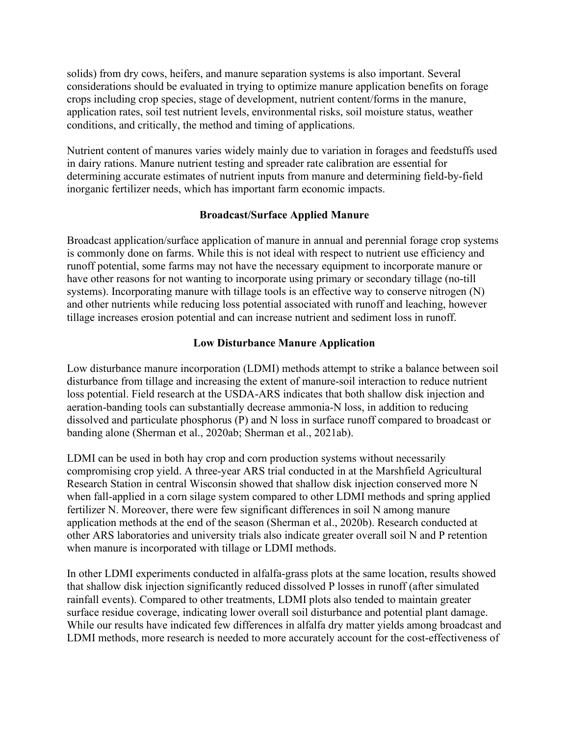solids) from dry cows, heifers, and manure separation systems is also important. Several considerations should be evaluated in trying to optimize manure application benefits on forage crops including crop species, stage of development, nutrient content/forms in the manure, application rates, soil test nutrient levels, environmental risks, soil moisture status, weather conditions, and critically, the method and timing of applications.

Nutrient content of manures varies widely mainly due to variation in forages and feedstuffs used in dairy rations. Manure nutrient testing and spreader rate calibration are essential for determining accurate estimates of nutrient inputs from manure and determining field-by-field inorganic fertilizer needs, which has important farm economic impacts.

## **Broadcast/Surface Applied Manure**

Broadcast application/surface application of manure in annual and perennial forage crop systems is commonly done on farms. While this is not ideal with respect to nutrient use efficiency and runoff potential, some farms may not have the necessary equipment to incorporate manure or have other reasons for not wanting to incorporate using primary or secondary tillage (no-till systems). Incorporating manure with tillage tools is an effective way to conserve nitrogen (N) and other nutrients while reducing loss potential associated with runoff and leaching, however tillage increases erosion potential and can increase nutrient and sediment loss in runoff.

# **Low Disturbance Manure Application**

Low disturbance manure incorporation (LDMI) methods attempt to strike a balance between soil disturbance from tillage and increasing the extent of manure-soil interaction to reduce nutrient loss potential. Field research at the USDA-ARS indicates that both shallow disk injection and aeration-banding tools can substantially decrease ammonia-N loss, in addition to reducing dissolved and particulate phosphorus (P) and N loss in surface runoff compared to broadcast or banding alone (Sherman et al., 2020ab; Sherman et al., 2021ab).

LDMI can be used in both hay crop and corn production systems without necessarily compromising crop yield. A three-year ARS trial conducted in at the Marshfield Agricultural Research Station in central Wisconsin showed that shallow disk injection conserved more N when fall-applied in a corn silage system compared to other LDMI methods and spring applied fertilizer N. Moreover, there were few significant differences in soil N among manure application methods at the end of the season (Sherman et al., 2020b). Research conducted at other ARS laboratories and university trials also indicate greater overall soil N and P retention when manure is incorporated with tillage or LDMI methods.

In other LDMI experiments conducted in alfalfa-grass plots at the same location, results showed that shallow disk injection significantly reduced dissolved P losses in runoff (after simulated rainfall events). Compared to other treatments, LDMI plots also tended to maintain greater surface residue coverage, indicating lower overall soil disturbance and potential plant damage. While our results have indicated few differences in alfalfa dry matter yields among broadcast and LDMI methods, more research is needed to more accurately account for the cost-effectiveness of